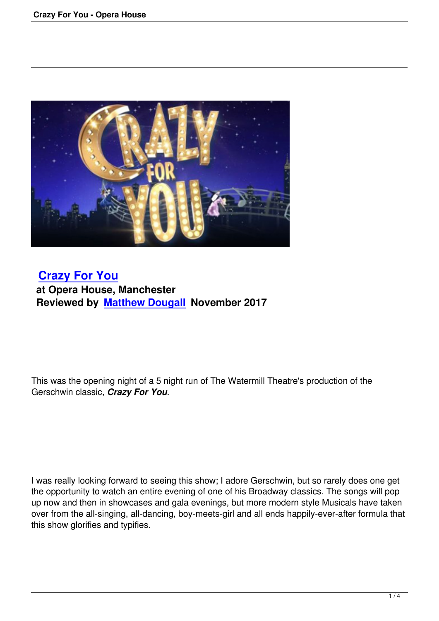

## **Crazy For You at Opera House, Manchester [Reviewed by Ma](crazy-for-you-opera-house.html)tthew Dougall November 2017**

This was the opening night of a 5 night run of The Watermill Theatre's production of the Gerschwin classic, *Crazy For You*.

I was really looking forward to seeing this show; I adore Gerschwin, but so rarely does one get the opportunity to watch an entire evening of one of his Broadway classics. The songs will pop up now and then in showcases and gala evenings, but more modern style Musicals have taken over from the all-singing, all-dancing, boy-meets-girl and all ends happily-ever-after formula that this show glorifies and typifies.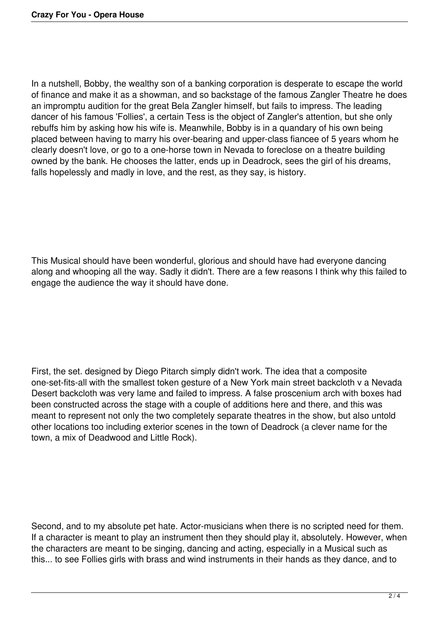In a nutshell, Bobby, the wealthy son of a banking corporation is desperate to escape the world of finance and make it as a showman, and so backstage of the famous Zangler Theatre he does an impromptu audition for the great Bela Zangler himself, but fails to impress. The leading dancer of his famous 'Follies', a certain Tess is the object of Zangler's attention, but she only rebuffs him by asking how his wife is. Meanwhile, Bobby is in a quandary of his own being placed between having to marry his over-bearing and upper-class fiancee of 5 years whom he clearly doesn't love, or go to a one-horse town in Nevada to foreclose on a theatre building owned by the bank. He chooses the latter, ends up in Deadrock, sees the girl of his dreams, falls hopelessly and madly in love, and the rest, as they say, is history.

This Musical should have been wonderful, glorious and should have had everyone dancing along and whooping all the way. Sadly it didn't. There are a few reasons I think why this failed to engage the audience the way it should have done.

First, the set. designed by Diego Pitarch simply didn't work. The idea that a composite one-set-fits-all with the smallest token gesture of a New York main street backcloth v a Nevada Desert backcloth was very lame and failed to impress. A false proscenium arch with boxes had been constructed across the stage with a couple of additions here and there, and this was meant to represent not only the two completely separate theatres in the show, but also untold other locations too including exterior scenes in the town of Deadrock (a clever name for the town, a mix of Deadwood and Little Rock).

Second, and to my absolute pet hate. Actor-musicians when there is no scripted need for them. If a character is meant to play an instrument then they should play it, absolutely. However, when the characters are meant to be singing, dancing and acting, especially in a Musical such as this... to see Follies girls with brass and wind instruments in their hands as they dance, and to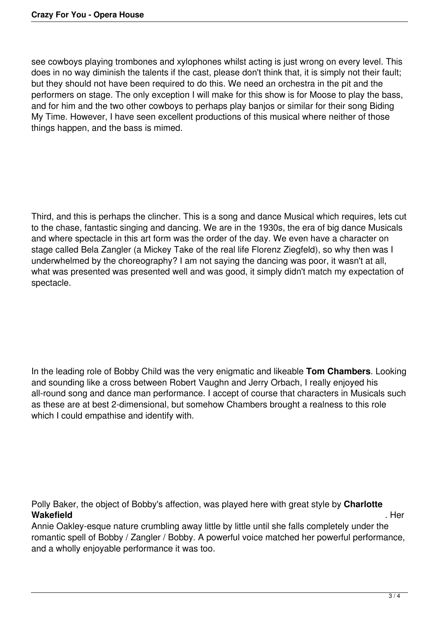see cowboys playing trombones and xylophones whilst acting is just wrong on every level. This does in no way diminish the talents if the cast, please don't think that, it is simply not their fault; but they should not have been required to do this. We need an orchestra in the pit and the performers on stage. The only exception I will make for this show is for Moose to play the bass, and for him and the two other cowboys to perhaps play banjos or similar for their song Biding My Time. However, I have seen excellent productions of this musical where neither of those things happen, and the bass is mimed.

Third, and this is perhaps the clincher. This is a song and dance Musical which requires, lets cut to the chase, fantastic singing and dancing. We are in the 1930s, the era of big dance Musicals and where spectacle in this art form was the order of the day. We even have a character on stage called Bela Zangler (a Mickey Take of the real life Florenz Ziegfeld), so why then was I underwhelmed by the choreography? I am not saying the dancing was poor, it wasn't at all, what was presented was presented well and was good, it simply didn't match my expectation of spectacle.

In the leading role of Bobby Child was the very enigmatic and likeable **Tom Chambers**. Looking and sounding like a cross between Robert Vaughn and Jerry Orbach, I really enjoyed his all-round song and dance man performance. I accept of course that characters in Musicals such as these are at best 2-dimensional, but somehow Chambers brought a realness to this role which I could empathise and identify with.

Polly Baker, the object of Bobby's affection, was played here with great style by **Charlotte Wakefield** . Here we have a set of the set of the set of the set of the set of the set of the set of the set of the set of the set of the set of the set of the set of the set of the set of the set of the set of the set of

Annie Oakley-esque nature crumbling away little by little until she falls completely under the romantic spell of Bobby / Zangler / Bobby. A powerful voice matched her powerful performance, and a wholly enjoyable performance it was too.